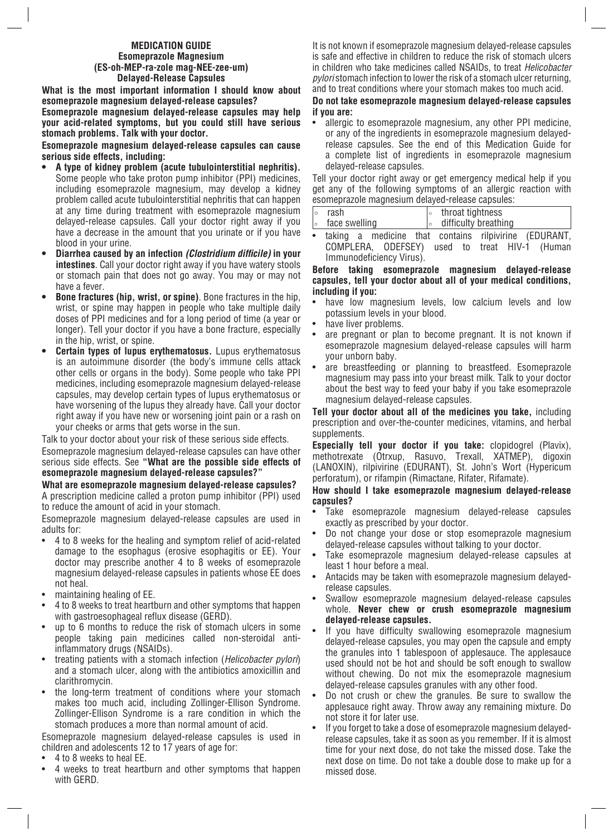### **MEDICATION GUIDE Esomeprazole Magnesium (ES-oh-MEP-ra-zole mag-NEE-zee-um) Delayed-Release Capsules**

**What is the most important information I should know about esomeprazole magnesium delayed-release capsules?**

**Esomeprazole magnesium delayed-release capsules may help your acid-related symptoms, but you could still have serious stomach problems. Talk with your doctor.**

**Esomeprazole magnesium delayed-release capsules can cause serious side effects, including:**

- **A type of kidney problem (acute tubulointerstitial nephritis).** Some people who take proton pump inhibitor (PPI) medicines, including esomeprazole magnesium, may develop a kidney problem called acute tubulointerstitial nephritis that can happen at any time during treatment with esomeprazole magnesium delayed-release capsules. Call your doctor right away if you have a decrease in the amount that you urinate or if you have blood in your urine.
- **Diarrhea caused by an infection (Clostridium difficile) in your intestines**. Call your doctor right away if you have watery stools or stomach pain that does not go away. You may or may not have a fever.
- **Bone fractures (hip, wrist, or spine)**. Bone fractures in the hip, wrist, or spine may happen in people who take multiple daily doses of PPI medicines and for a long period of time (a year or longer). Tell your doctor if you have a bone fracture, especially in the hip, wrist, or spine.
- **Certain types of lupus erythematosus.** Lupus erythematosus is an autoimmune disorder (the body's immune cells attack other cells or organs in the body). Some people who take PPI medicines, including esomeprazole magnesium delayed-release capsules, may develop certain types of lupus erythematosus or have worsening of the lupus they already have. Call your doctor right away if you have new or worsening joint pain or a rash on your cheeks or arms that gets worse in the sun.

Talk to your doctor about your risk of these serious side effects.

Esomeprazole magnesium delayed-release capsules can have other serious side effects. See **"What are the possible side effects of esomeprazole magnesium delayed-release capsules?"**

**What are esomeprazole magnesium delayed-release capsules?** A prescription medicine called a proton pump inhibitor (PPI) used to reduce the amount of acid in your stomach.

Esomeprazole magnesium delayed-release capsules are used in adults for:

- 4 to 8 weeks for the healing and symptom relief of acid-related damage to the esophagus (erosive esophagitis or EE). Your doctor may prescribe another 4 to 8 weeks of esomeprazole magnesium delayed-release capsules in patients whose EE does not heal.
- maintaining healing of EE.
- 4 to 8 weeks to treat heartburn and other symptoms that happen with gastroesophageal reflux disease (GERD).
- up to 6 months to reduce the risk of stomach ulcers in some people taking pain medicines called non-steroidal antiinflammatory drugs (NSAIDs).
- treating patients with a stomach infection (*Helicobacter pylori*) and a stomach ulcer, along with the antibiotics amoxicillin and clarithromycin.
- the long-term treatment of conditions where your stomach makes too much acid, including Zollinger-Ellison Syndrome. Zollinger-Ellison Syndrome is a rare condition in which the stomach produces a more than normal amount of acid.

Esomeprazole magnesium delayed-release capsules is used in children and adolescents 12 to 17 years of age for:

- 4 to 8 weeks to heal EE.
- 4 weeks to treat heartburn and other symptoms that happen with GERD.

It is not known if esomeprazole magnesium delayed-release capsules is safe and effective in children to reduce the risk of stomach ulcers in children who take medicines called NSAIDs, to treat *Helicobacter pylori* stomach infection to lower the risk of a stomach ulcer returning, and to treat conditions where your stomach makes too much acid.

### **Do not take esomeprazole magnesium delayed-release capsules if you are:**

• allergic to esomeprazole magnesium, any other PPI medicine, or any of the ingredients in esomeprazole magnesium delayedrelease capsules. See the end of this Medication Guide for a complete list of ingredients in esomeprazole magnesium delayed-release capsules.

Tell your doctor right away or get emergency medical help if you get any of the following symptoms of an allergic reaction with esomeprazole magnesium delayed-release capsules:

| rash          | throat tightness     |
|---------------|----------------------|
| face swelling | difficulty breathing |

taking a medicine that contains rilpivirine (EDURANT,<br>COMPLERA, ODEFSEY) used to treat HIV-1 (Human COMPLERA, ODEFSEY) used to Immunodeficiency Virus).

#### **Before taking esomeprazole magnesium delayed-release capsules, tell your doctor about all of your medical conditions, including if you:**

- have low magnesium levels, low calcium levels and low potassium levels in your blood.
- have liver problems.
- are pregnant or plan to become pregnant. It is not known if esomeprazole magnesium delayed-release capsules will harm your unborn baby.
- are breastfeeding or planning to breastfeed. Esomeprazole magnesium may pass into your breast milk. Talk to your doctor about the best way to feed your baby if you take esomeprazole magnesium delayed-release capsules.

**Tell your doctor about all of the medicines you take,** including prescription and over-the-counter medicines, vitamins, and herbal supplements.

**Especially tell your doctor if you take:** clopidogrel (Plavix), methotrexate (Otrxup, Rasuvo, Trexall, XATMEP), digoxin (LANOXIN), rilpivirine (EDURANT), St. John's Wort (Hypericum perforatum), or rifampin (Rimactane, Rifater, Rifamate).

### **How should I take esomeprazole magnesium delayed-release capsules?**

- Take esomeprazole magnesium delayed-release capsules exactly as prescribed by your doctor.
- Do not change your dose or stop esomeprazole magnesium delayed-release capsules without talking to your doctor.
- Take esomeprazole magnesium delayed-release capsules at least 1 hour before a meal.
- Antacids may be taken with esomeprazole magnesium delayedrelease capsules.
- Swallow esomeprazole magnesium delayed-release capsules whole. **Never chew or crush esomeprazole magnesium delayed-release capsules.**
- If you have difficulty swallowing esomeprazole magnesium delayed-release capsules, you may open the capsule and empty the granules into 1 tablespoon of applesauce. The applesauce used should not be hot and should be soft enough to swallow without chewing. Do not mix the esomeprazole magnesium delayed-release capsules granules with any other food.
- Do not crush or chew the granules. Be sure to swallow the applesauce right away. Throw away any remaining mixture. Do not store it for later use.
- If you forget to take a dose of esomeprazole magnesium delayedrelease capsules, take it as soon as you remember. If it is almost time for your next dose, do not take the missed dose. Take the next dose on time. Do not take a double dose to make up for a missed dose.